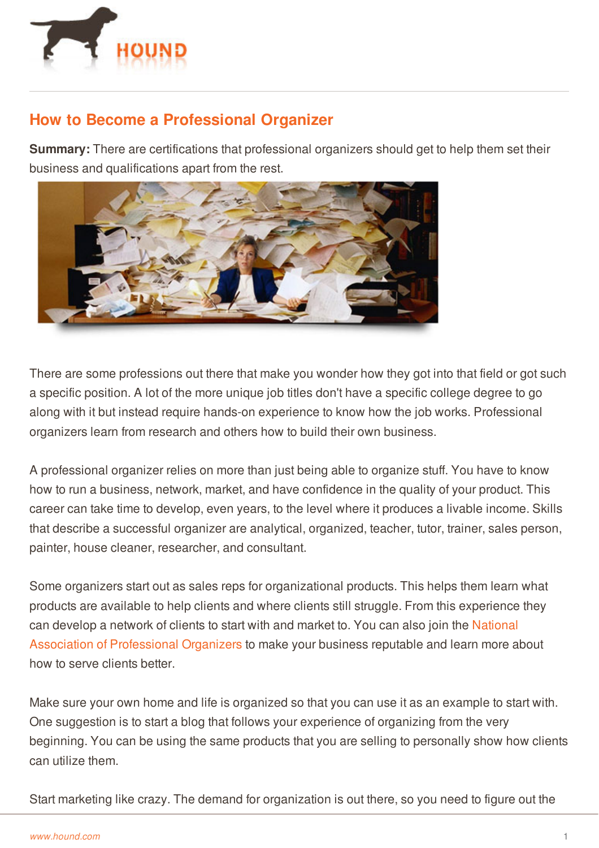

## **How to Become a Professional Organizer**

**Summary:** There are certifications that professional organizers should get to help them set their business and qualifications apart from the rest.



There are some professions out there that make you wonder how they got into that field or got such a specific position. A lot of the more unique job titles don't have a specific college degree to go along with it but instead require hands-on experience to know how the job works. Professional organizers learn from research and others how to build their own business.

A professional organizer relies on more than just being able to organize stuff. You have to know how to run a business, network, market, and have confidence in the quality of your product. This career can take time to develop, even years, to the level where it produces a livable income. Skills that describe a successful organizer are analytical, organized, teacher, tutor, trainer, sales person, painter, house cleaner, researcher, and consultant.

Some organizers start out as sales reps for organizational products. This helps them learn what products are available to help clients and where clients still struggle. From this experience they can develop a network of clients to start with and market to. You can also join the National Association of [Professional](https://en.wikipedia.org/wiki/National_Association_of_Professional_Organizers) Organizers to make your business reputable and learn more about how to serve clients better.

Make sure your own home and life is organized so that you can use it as an example to start with. One suggestion is to start a blog that follows your experience of organizing from the very [beginning.](http://www.hound.com/) You can be using the same products that you are selling to personally show how clients can utilize them.

Start marketing like crazy. The demand for organization is out there, so you need to figure out the